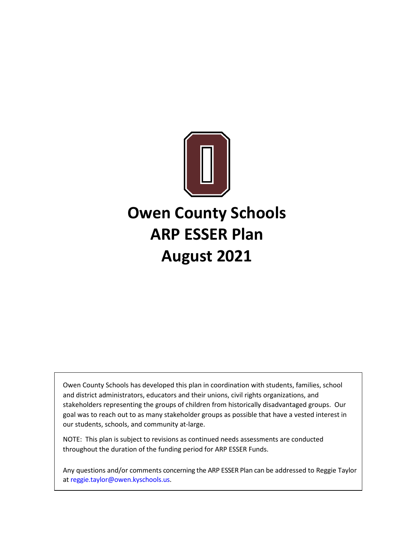

# **Owen County Schools ARP ESSER Plan August 2021**

Owen County Schools has developed this plan in coordination with students, families, school and district administrators, educators and their unions, civil rights organizations, and stakeholders representing the groups of children from historically disadvantaged groups. Our goal was to reach out to as many stakeholder groups as possible that have a vested interest in our students, schools, and community at-large.

NOTE: This plan is subject to revisions as continued needs assessments are conducted throughout the duration of the funding period for ARP ESSER Funds.

Any questions and/or comments concerning the ARP ESSER Plan can be addressed to Reggie Taylor at [reggie.taylor@owen.kyschools.us.](mailto:reggie.taylor@owen.kyschools.us)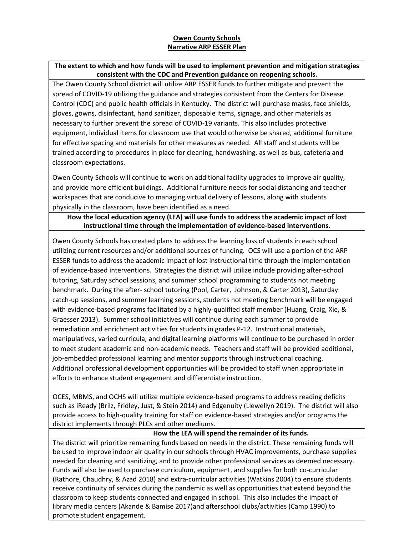# **Owen County Schools Narrative ARP ESSER Plan**

# **The extent to which and how funds will be used to implement prevention and mitigation strategies consistent with the CDC and Prevention guidance on reopening schools.**

The Owen County School district will utilize ARP ESSER funds to further mitigate and prevent the spread of COVID-19 utilizing the guidance and strategies consistent from the Centers for Disease Control (CDC) and public health officials in Kentucky. The district will purchase masks, face shields, gloves, gowns, disinfectant, hand sanitizer, disposable items, signage, and other materials as necessary to further prevent the spread of COVID-19 variants. This also includes protective equipment, individual items for classroom use that would otherwise be shared, additional furniture for effective spacing and materials for other measures as needed. All staff and students will be trained according to procedures in place for cleaning, handwashing, as well as bus, cafeteria and classroom expectations.

Owen County Schools will continue to work on additional facility upgrades to improve air quality, and provide more efficient buildings. Additional furniture needs for social distancing and teacher workspaces that are conducive to managing virtual delivery of lessons, along with students physically in the classroom, have been identified as a need.

### **How the local education agency (LEA) will use fundsto address the academic impact of lost instructional time through the implementation of evidence-based interventions.**

Owen County Schools has created plans to address the learning loss of students in each school utilizing current resources and/or additional sources of funding. OCS will use a portion of the ARP ESSER funds to address the academic impact of lost instructional time through the implementation of evidence-based interventions. Strategies the district will utilize include providing after-school tutoring, Saturday school sessions, and summer school programming to students not meeting benchmark. During the after- school tutoring (Pool, Carter, Johnson, & Carter 2013), Saturday catch-up sessions, and summer learning sessions, students not meeting benchmark will be engaged with evidence-based programs facilitated by a highly-qualified staff member (Huang, Craig, Xie, & Graesser 2013). Summer school initiatives will continue during each summer to provide remediation and enrichment activities for students in grades P-12. Instructional materials, manipulatives, varied curricula, and digital learning platforms will continue to be purchased in order to meet student academic and non-academic needs. Teachers and staff will be provided additional, job-embedded professional learning and mentor supports through instructional coaching. Additional professional development opportunities will be provided to staff when appropriate in efforts to enhance student engagement and differentiate instruction.

OCES, MBMS, and OCHS will utilize multiple evidence-based programs to address reading deficits such as iReady (Brilz, Fridley, Just, & Stein 2014) and Edgenuity (Llewellyn 2019). The district will also provide access to high-quality training for staff on evidence-based strategies and/or programs the district implements through PLCs and other mediums.

#### **How the LEA will spend the remainder of its funds.**

The district will prioritize remaining funds based on needs in the district. These remaining funds will be used to improve indoor air quality in our schools through HVAC improvements, purchase supplies needed for cleaning and sanitizing, and to provide other professional services as deemed necessary. Funds will also be used to purchase curriculum, equipment, and supplies for both co-curricular (Rathore, Chaudhry, & Azad 2018) and extra-curricular activities (Watkins 2004) to ensure students receive continuity of services during the pandemic as well as opportunities that extend beyond the classroom to keep students connected and engaged in school. This also includes the impact of library media centers (Akande & Bamise 2017)and afterschool clubs/activities (Camp 1990) to promote student engagement.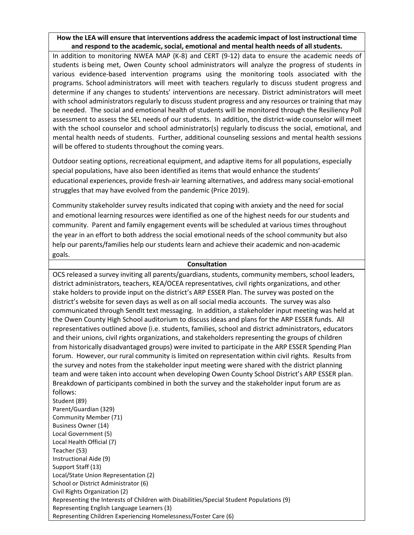# **How the LEA will ensure that interventions address the academic impact of lost instructional time and respond to the academic, social, emotional and mental health needs of all students.**

In addition to monitoring NWEA MAP (K-8) and CERT (9-12) data to ensure the academic needs of students is being met, Owen County school administrators will analyze the progress of students in various evidence-based intervention programs using the monitoring tools associated with the programs. School administrators will meet with teachers regularly to discuss student progress and determine if any changes to students' interventions are necessary. District administrators will meet with school administrators regularly to discuss student progress and any resources or training that may be needed. The social and emotional health of students will be monitored through the Resiliency Poll assessment to assess the SEL needs of our students. In addition, the district-wide counselor will meet with the school counselor and school administrator(s) regularly to discuss the social, emotional, and mental health needs of students. Further, additional counseling sessions and mental health sessions will be offered to students throughout the coming years.

Outdoor seating options, recreational equipment, and adaptive items for all populations, especially special populations, have also been identified as items that would enhance the students' educational experiences, provide fresh-air learning alternatives, and address many social-emotional struggles that may have evolved from the pandemic (Price 2019).

Community stakeholder survey results indicated that coping with anxiety and the need for social and emotional learning resources were identified as one of the highest needs for our students and community. Parent and family engagement events will be scheduled at various times throughout the year in an effort to both address the social emotional needs of the school community but also help our parents/families help our students learn and achieve their academic and non-academic goals.

#### **Consultation**

OCS released a survey inviting all parents/guardians, students, community members, school leaders, district administrators, teachers, KEA/OCEA representatives, civil rights organizations, and other stake holders to provide input on the district's ARP ESSER Plan. The survey was posted on the district's website for seven days as well as on all social media accounts. The survey was also communicated through SendIt text messaging. In addition, a stakeholder input meeting was held at the Owen County High School auditorium to discuss ideas and plans for the ARP ESSER funds. All representatives outlined above (i.e. students, families, school and district administrators, educators and their unions, civil rights organizations, and stakeholders representing the groups of children from historically disadvantaged groups) were invited to participate in the ARP ESSER Spending Plan forum. However, our rural community is limited on representation within civil rights. Results from the survey and notes from the stakeholder input meeting were shared with the district planning team and were taken into account when developing Owen County School District's ARP ESSER plan. Breakdown of participants combined in both the survey and the stakeholder input forum are as follows: Student (89) Parent/Guardian (329) Community Member (71) Business Owner (14) Local Government (5) Local Health Official (7) Teacher (53) Instructional Aide (9) Support Staff (13) Local/State Union Representation (2) School or District Administrator (6) Civil Rights Organization (2) Representing the Interests of Children with Disabilities/Special Student Populations (9) Representing English Language Learners (3) Representing Children Experiencing Homelessness/Foster Care (6)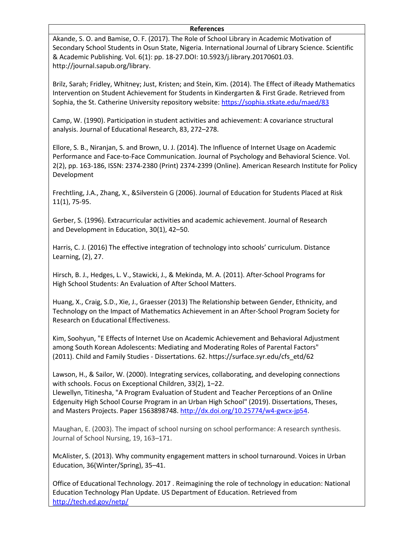#### **References**

Akande, S. O. and Bamise, O. F. (2017). The Role of School Library in Academic Motivation of Secondary School Students in Osun State, Nigeria. International Journal of Library Science. Scientific & Academic Publishing. Vol. 6(1): pp. 18-27.DOI: 10.5923/j.library.20170601.03. http://journal.sapub.org/library.

Brilz, Sarah; Fridley, Whitney; Just, Kristen; and Stein, Kim. (2014). The Effect of iReady Mathematics Intervention on Student Achievement for Students in Kindergarten & First Grade. Retrieved from Sophia, the St. Catherine University repository website[: https://sophia.stkate.edu/maed/83](https://sophia.stkate.edu/maed/83)

Camp, W. (1990). Participation in student activities and achievement: A covariance structural analysis. Journal of Educational Research, 83, 272–278.

Ellore, S. B., Niranjan, S. and Brown, U. J. (2014). The Influence of Internet Usage on Academic Performance and Face-to-Face Communication. Journal of Psychology and Behavioral Science. Vol. 2(2), pp. 163-186, ISSN: 2374-2380 (Print) 2374-2399 (Online). American Research Institute for Policy Development

Frechtling, J.A., Zhang, X., &Silverstein G (2006). Journal of Education for Students Placed at Risk 11(1), 75-95.

Gerber, S. (1996). Extracurricular activities and academic achievement. Journal of Research and Development in Education, 30(1), 42–50.

Harris, C. J. (2016) The effective integration of technology into schools' curriculum. Distance Learning, (2), 27.

Hirsch, B. J., Hedges, L. V., Stawicki, J., & Mekinda, M. A. (2011). After-School Programs for High School Students: An Evaluation of After School Matters.

Huang, X., Craig, S.D., Xie, J., Graesser (2013) The Relationship between Gender, Ethnicity, and Technology on the Impact of Mathematics Achievement in an After-School Program Society for Research on Educational Effectiveness.

Kim, Soohyun, "E Effects of Internet Use on Academic Achievement and Behavioral Adjustment among South Korean Adolescents: Mediating and Moderating Roles of Parental Factors" (2011). Child and Family Studies - Dissertations. 62. https://surface.syr.edu/cfs\_etd/62

Lawson, H., & Sailor, W. (2000). Integrating services, collaborating, and developing connections with schools. Focus on Exceptional Children, 33(2), 1–22.

Llewellyn, Titinesha, "A Program Evaluation of Student and Teacher Perceptions of an Online Edgenuity High School Course Program in an Urban High School" (2019). Dissertations, Theses, and Masters Projects. Paper 1563898748. [http://dx.doi.org/10.25774/w4-gwcx-jp54.](http://dx.doi.org/10.25774/w4-gwcx-jp54)

Maughan, E. (2003). The impact of school nursing on school performance: A research synthesis. Journal of School Nursing, 19, 163–171.

McAlister, S. (2013). Why community engagement matters in school turnaround. Voices in Urban Education, 36(Winter/Spring), 35–41.

Office of Educational Technology. 2017 . Reimagining the role of technology in education: National Education Technology Plan Update. US Department of Education. Retrieved from <http://tech.ed.gov/netp/>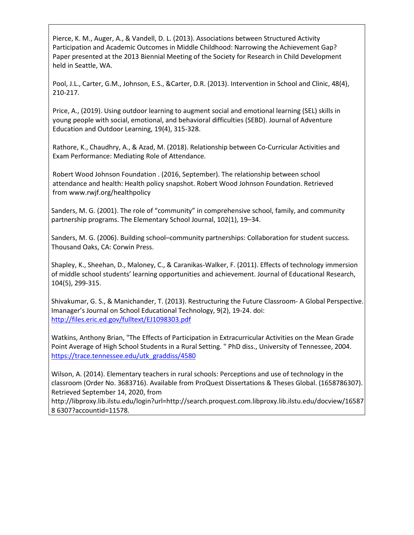Pierce, K. M., Auger, A., & Vandell, D. L. (2013). Associations between Structured Activity Participation and Academic Outcomes in Middle Childhood: Narrowing the Achievement Gap? Paper presented at the 2013 Biennial Meeting of the Society for Research in Child Development held in Seattle, WA.

Pool, J.L., Carter, G.M., Johnson, E.S., &Carter, D.R. (2013). Intervention in School and Clinic, 48(4), 210-217.

Price, A., (2019). Using outdoor learning to augment social and emotional learning (SEL) skills in young people with social, emotional, and behavioral difficulties (SEBD). Journal of Adventure Education and Outdoor Learning, 19(4), 315-328.

Rathore, K., Chaudhry, A., & Azad, M. (2018). Relationship between Co-Curricular Activities and Exam Performance: Mediating Role of Attendance.

Robert Wood Johnson Foundation . (2016, September). The relationship between school attendance and health: Health policy snapshot. Robert Wood Johnson Foundation. Retrieved from [www.rwjf.org/healthpolicy](http://www.rwjf.org/healthpolicy)

Sanders, M. G. (2001). The role of "community" in comprehensive school, family, and community partnership programs. The Elementary School Journal, 102(1), 19–34.

Sanders, M. G. (2006). Building school–community partnerships: Collaboration for student success. Thousand Oaks, CA: Corwin Press.

Shapley, K., Sheehan, D., Maloney, C., & Caranikas-Walker, F. (2011). Effects of technology immersion of middle school students' learning opportunities and achievement. Journal of Educational Research, 104(5), 299-315.

Shivakumar, G. S., & Manichander, T. (2013). Restructuring the Future Classroom- A Global Perspective. Imanager's Journal on School Educational Technology, 9(2), 19-24. doi: <http://files.eric.ed.gov/fulltext/EJ1098303.pdf>

Watkins, Anthony Brian, "The Effects of Participation in Extracurricular Activities on the Mean Grade Point Average of High School Students in a Rural Setting. " PhD diss., University of Tennessee, 2004. [https://trace.tennessee.edu/utk\\_graddiss/4580](https://trace.tennessee.edu/utk_graddiss/4580)

Wilson, A. (2014). Elementary teachers in rural schools: Perceptions and use of technology in the classroom (Order No. 3683716). Available from ProQuest Dissertations & Theses Global. (1658786307). Retrieved September 14, 2020, from

http://libproxy.lib.ilstu.edu/login?url=http://search.proquest.com.libproxy.lib.ilstu.edu/docview/16587 8 6307?accountid=11578.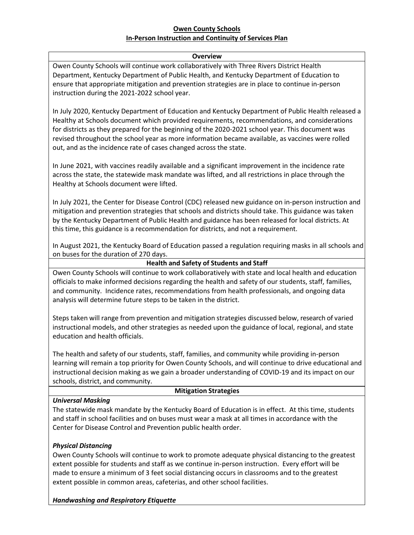# **Owen County Schools In-Person Instruction and Continuity of Services Plan**

#### **Overview**

Owen County Schools will continue work collaboratively with Three Rivers District Health Department, Kentucky Department of Public Health, and Kentucky Department of Education to ensure that appropriate mitigation and prevention strategies are in place to continue in-person instruction during the 2021-2022 school year.

In July 2020, Kentucky Department of Education and Kentucky Department of Public Health released a Healthy at Schools document which provided requirements, recommendations, and considerations for districts as they prepared for the beginning of the 2020-2021 school year. This document was revised throughout the school year as more information became available, as vaccines were rolled out, and as the incidence rate of cases changed across the state.

In June 2021, with vaccines readily available and a significant improvement in the incidence rate across the state, the statewide mask mandate was lifted, and all restrictions in place through the Healthy at Schools document were lifted.

In July 2021, the Center for Disease Control (CDC) released new guidance on in-person instruction and mitigation and prevention strategies that schools and districts should take. This guidance was taken by the Kentucky Department of Public Health and guidance has been released for local districts. At this time, this guidance is a recommendation for districts, and not a requirement.

In August 2021, the Kentucky Board of Education passed a regulation requiring masks in all schools and on buses for the duration of 270 days.

#### **Health and Safety of Students and Staff**

Owen County Schools will continue to work collaboratively with state and local health and education officials to make informed decisions regarding the health and safety of our students, staff, families, and community. Incidence rates, recommendations from health professionals, and ongoing data analysis will determine future steps to be taken in the district.

Steps taken will range from prevention and mitigation strategies discussed below, research of varied instructional models, and other strategies as needed upon the guidance of local, regional, and state education and health officials.

The health and safety of our students, staff, families, and community while providing in-person learning will remain a top priority for Owen County Schools, and will continue to drive educational and instructional decision making as we gain a broader understanding of COVID-19 and its impact on our schools, district, and community.

#### **Mitigation Strategies**

*Universal Masking*

The statewide mask mandate by the Kentucky Board of Education is in effect. At this time, students and staff in school facilities and on buses must wear a mask at all times in accordance with the Center for Disease Control and Prevention public health order.

#### *Physical Distancing*

Owen County Schools will continue to work to promote adequate physical distancing to the greatest extent possible for students and staff as we continue in-person instruction. Every effort will be made to ensure a minimum of 3 feet social distancing occurs in classrooms and to the greatest extent possible in common areas, cafeterias, and other school facilities.

#### *Handwashing and Respiratory Etiquette*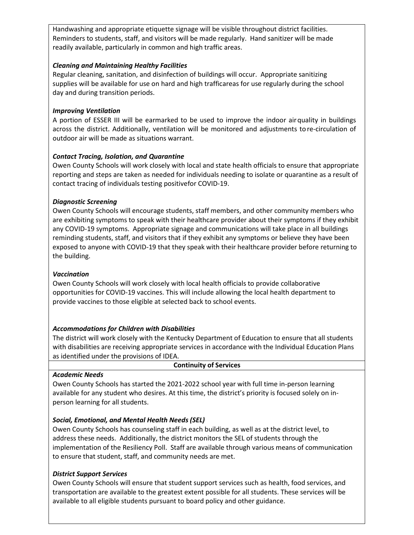Handwashing and appropriate etiquette signage will be visible throughout district facilities. Reminders to students, staff, and visitors will be made regularly. Hand sanitizer will be made readily available, particularly in common and high traffic areas.

### *Cleaning and Maintaining Healthy Facilities*

Regular cleaning, sanitation, and disinfection of buildings will occur. Appropriate sanitizing supplies will be available for use on hard and high trafficareas for use regularly during the school day and during transition periods.

### *Improving Ventilation*

A portion of ESSER III will be earmarked to be used to improve the indoor airquality in buildings across the district. Additionally, ventilation will be monitored and adjustments to re-circulation of outdoor air will be made as situations warrant.

# *Contact Tracing, Isolation, and Quarantine*

Owen County Schools will work closely with local and state health officials to ensure that appropriate reporting and steps are taken as needed for individuals needing to isolate or quarantine as a result of contact tracing of individuals testing positivefor COVID-19.

# *Diagnostic Screening*

Owen County Schools will encourage students, staff members, and other community members who are exhibiting symptoms to speak with their healthcare provider about their symptoms if they exhibit any COVID-19 symptoms. Appropriate signage and communications will take place in all buildings reminding students, staff, and visitors that if they exhibit any symptoms or believe they have been exposed to anyone with COVID-19 that they speak with their healthcare provider before returning to the building.

#### *Vaccination*

Owen County Schools will work closely with local health officials to provide collaborative opportunities for COVID-19 vaccines. This will include allowing the local health department to provide vaccines to those eligible at selected back to school events.

# *Accommodations for Children with Disabilities*

The district will work closely with the Kentucky Department of Education to ensure that all students with disabilities are receiving appropriate services in accordance with the Individual Education Plans as identified under the provisions of IDEA.

| <b>Continuity of Services</b>                                                               |
|---------------------------------------------------------------------------------------------|
| Academic Needs                                                                              |
| Owen County Schools has started the 2021-2022 school year with full time in-person learning |

Owen County Schools has started the 2021-2022 school year with full time in-person learning available for any student who desires. At this time, the district's priority is focused solely on inperson learning for all students.

# *Social, Emotional, and Mental Health Needs (SEL)*

Owen County Schools has counseling staff in each building, as well as at the district level, to address these needs. Additionally, the district monitors the SEL of students through the implementation of the Resiliency Poll. Staff are available through various means of communication to ensure that student, staff, and community needs are met.

#### *District Support Services*

Owen County Schools will ensure that student support services such as health, food services, and transportation are available to the greatest extent possible for all students. These services will be available to all eligible students pursuant to board policy and other guidance.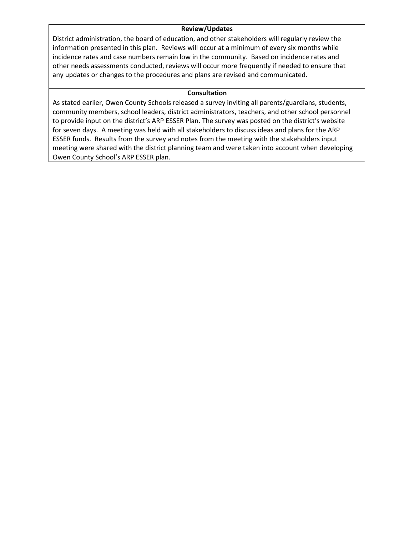#### **Review/Updates**

District administration, the board of education, and other stakeholders will regularly review the information presented in this plan. Reviews will occur at a minimum of every six months while incidence rates and case numbers remain low in the community. Based on incidence rates and other needs assessments conducted, reviews will occur more frequently if needed to ensure that any updates or changes to the procedures and plans are revised and communicated.

#### **Consultation**

As stated earlier, Owen County Schools released a survey inviting all parents/guardians, students, community members, school leaders, district administrators, teachers, and other school personnel to provide input on the district's ARP ESSER Plan. The survey was posted on the district's website for seven days. A meeting was held with all stakeholders to discuss ideas and plans for the ARP ESSER funds. Results from the survey and notes from the meeting with the stakeholders input meeting were shared with the district planning team and were taken into account when developing Owen County School's ARP ESSER plan.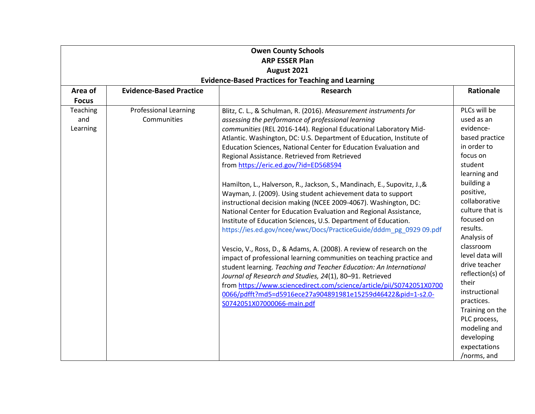| <b>Owen County Schools</b><br><b>ARP ESSER Plan</b>       |                                             |                                                                                                                                                                                                                                                                                                                                                                                                                                                                                                                                                                                                                                                                                                                                                                                                                                                                                                                                                                                                                                                                                                                                                                                                                                                                                                                      |                                                                                                                                                                                                                                                                                                                                                                                                                                      |  |  |
|-----------------------------------------------------------|---------------------------------------------|----------------------------------------------------------------------------------------------------------------------------------------------------------------------------------------------------------------------------------------------------------------------------------------------------------------------------------------------------------------------------------------------------------------------------------------------------------------------------------------------------------------------------------------------------------------------------------------------------------------------------------------------------------------------------------------------------------------------------------------------------------------------------------------------------------------------------------------------------------------------------------------------------------------------------------------------------------------------------------------------------------------------------------------------------------------------------------------------------------------------------------------------------------------------------------------------------------------------------------------------------------------------------------------------------------------------|--------------------------------------------------------------------------------------------------------------------------------------------------------------------------------------------------------------------------------------------------------------------------------------------------------------------------------------------------------------------------------------------------------------------------------------|--|--|
|                                                           | August 2021                                 |                                                                                                                                                                                                                                                                                                                                                                                                                                                                                                                                                                                                                                                                                                                                                                                                                                                                                                                                                                                                                                                                                                                                                                                                                                                                                                                      |                                                                                                                                                                                                                                                                                                                                                                                                                                      |  |  |
| <b>Evidence-Based Practices for Teaching and Learning</b> |                                             |                                                                                                                                                                                                                                                                                                                                                                                                                                                                                                                                                                                                                                                                                                                                                                                                                                                                                                                                                                                                                                                                                                                                                                                                                                                                                                                      |                                                                                                                                                                                                                                                                                                                                                                                                                                      |  |  |
| Area of<br><b>Focus</b>                                   | <b>Evidence-Based Practice</b>              | <b>Research</b>                                                                                                                                                                                                                                                                                                                                                                                                                                                                                                                                                                                                                                                                                                                                                                                                                                                                                                                                                                                                                                                                                                                                                                                                                                                                                                      | Rationale                                                                                                                                                                                                                                                                                                                                                                                                                            |  |  |
| Teaching<br>and<br>Learning                               | <b>Professional Learning</b><br>Communities | Blitz, C. L., & Schulman, R. (2016). Measurement instruments for<br>assessing the performance of professional learning<br>communities (REL 2016-144). Regional Educational Laboratory Mid-<br>Atlantic. Washington, DC: U.S. Department of Education, Institute of<br>Education Sciences, National Center for Education Evaluation and<br>Regional Assistance. Retrieved from Retrieved<br>from https://eric.ed.gov/?id=ED568594<br>Hamilton, L., Halverson, R., Jackson, S., Mandinach, E., Supovitz, J., &<br>Wayman, J. (2009). Using student achievement data to support<br>instructional decision making (NCEE 2009-4067). Washington, DC:<br>National Center for Education Evaluation and Regional Assistance,<br>Institute of Education Sciences, U.S. Department of Education.<br>https://ies.ed.gov/ncee/wwc/Docs/PracticeGuide/dddm_pg_0929 09.pdf<br>Vescio, V., Ross, D., & Adams, A. (2008). A review of research on the<br>impact of professional learning communities on teaching practice and<br>student learning. Teaching and Teacher Education: An International<br>Journal of Research and Studies, 24(1), 80-91. Retrieved<br>from https://www.sciencedirect.com/science/article/pii/S0742051X0700<br>0066/pdfft?md5=d5916ece27a904891981e15259d46422&pid=1-s2.0-<br>S0742051X07000066-main.pdf | PLCs will be<br>used as an<br>evidence-<br>based practice<br>in order to<br>focus on<br>student<br>learning and<br>building a<br>positive,<br>collaborative<br>culture that is<br>focused on<br>results.<br>Analysis of<br>classroom<br>level data will<br>drive teacher<br>reflection(s) of<br>their<br>instructional<br>practices.<br>Training on the<br>PLC process,<br>modeling and<br>developing<br>expectations<br>/norms, and |  |  |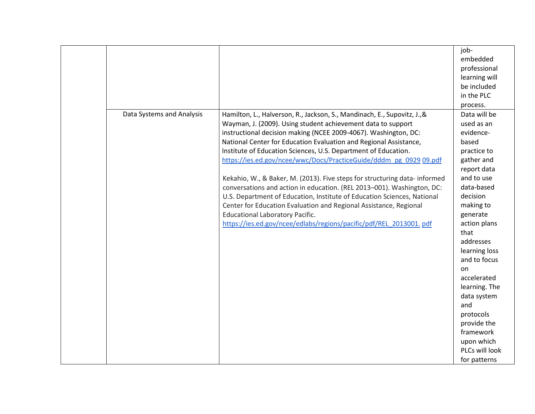|                           |                                                                                                                                                                                                                                                                                                                                                                                                                                                                                                                                                                                                                                                                                                                                                                                                                                                 | job-<br>embedded<br>professional<br>learning will<br>be included<br>in the PLC                                                                                                                                                                                                                                                                                                       |
|---------------------------|-------------------------------------------------------------------------------------------------------------------------------------------------------------------------------------------------------------------------------------------------------------------------------------------------------------------------------------------------------------------------------------------------------------------------------------------------------------------------------------------------------------------------------------------------------------------------------------------------------------------------------------------------------------------------------------------------------------------------------------------------------------------------------------------------------------------------------------------------|--------------------------------------------------------------------------------------------------------------------------------------------------------------------------------------------------------------------------------------------------------------------------------------------------------------------------------------------------------------------------------------|
| Data Systems and Analysis | Hamilton, L., Halverson, R., Jackson, S., Mandinach, E., Supovitz, J., &<br>Wayman, J. (2009). Using student achievement data to support<br>instructional decision making (NCEE 2009-4067). Washington, DC:<br>National Center for Education Evaluation and Regional Assistance,<br>Institute of Education Sciences, U.S. Department of Education.<br>https://ies.ed.gov/ncee/wwc/Docs/PracticeGuide/dddm_pg_0929_09.pdf<br>Kekahio, W., & Baker, M. (2013). Five steps for structuring data-informed<br>conversations and action in education. (REL 2013-001). Washington, DC:<br>U.S. Department of Education, Institute of Education Sciences, National<br>Center for Education Evaluation and Regional Assistance, Regional<br><b>Educational Laboratory Pacific.</b><br>https://ies.ed.gov/ncee/edlabs/regions/pacific/pdf/REL_2013001.pdf | process.<br>Data will be<br>used as an<br>evidence-<br>based<br>practice to<br>gather and<br>report data<br>and to use<br>data-based<br>decision<br>making to<br>generate<br>action plans<br>that<br>addresses<br>learning loss<br>and to focus<br>on<br>accelerated<br>learning. The<br>data system<br>and<br>protocols<br>provide the<br>framework<br>upon which<br>PLCs will look |
|                           |                                                                                                                                                                                                                                                                                                                                                                                                                                                                                                                                                                                                                                                                                                                                                                                                                                                 | for patterns                                                                                                                                                                                                                                                                                                                                                                         |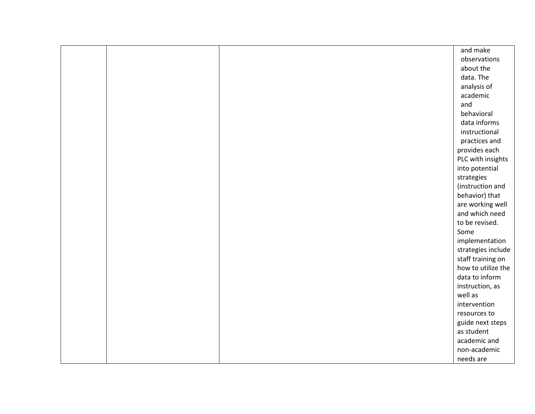|  | and make           |
|--|--------------------|
|  | observations       |
|  | about the          |
|  | data. The          |
|  | analysis of        |
|  | academic           |
|  | and                |
|  | behavioral         |
|  | data informs       |
|  | instructional      |
|  | practices and      |
|  | provides each      |
|  | PLC with insights  |
|  | into potential     |
|  | strategies         |
|  | (instruction and   |
|  | behavior) that     |
|  | are working well   |
|  | and which need     |
|  | to be revised.     |
|  | Some               |
|  | implementation     |
|  | strategies include |
|  | staff training on  |
|  | how to utilize the |
|  | data to inform     |
|  | instruction, as    |
|  | well as            |
|  | intervention       |
|  | resources to       |
|  | guide next steps   |
|  | as student         |
|  | academic and       |
|  | non-academic       |
|  | needs are          |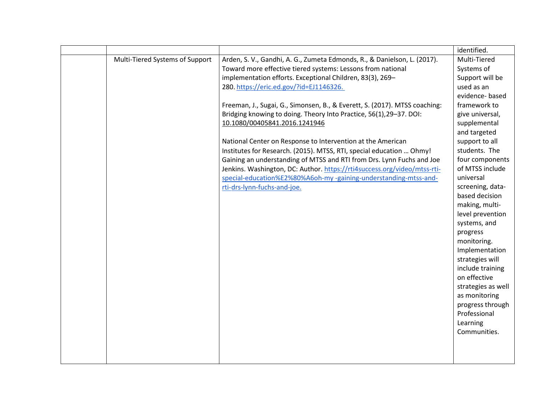|                                 |                                                                            | identified.        |
|---------------------------------|----------------------------------------------------------------------------|--------------------|
| Multi-Tiered Systems of Support | Arden, S. V., Gandhi, A. G., Zumeta Edmonds, R., & Danielson, L. (2017).   | Multi-Tiered       |
|                                 | Toward more effective tiered systems: Lessons from national                | Systems of         |
|                                 | implementation efforts. Exceptional Children, 83(3), 269-                  | Support will be    |
|                                 | 280. https://eric.ed.gov/?id=EJ1146326.                                    | used as an         |
|                                 |                                                                            | evidence-based     |
|                                 | Freeman, J., Sugai, G., Simonsen, B., & Everett, S. (2017). MTSS coaching: | framework to       |
|                                 | Bridging knowing to doing. Theory Into Practice, 56(1), 29-37. DOI:        | give universal,    |
|                                 | 10.1080/00405841.2016.1241946                                              | supplemental       |
|                                 |                                                                            | and targeted       |
|                                 | National Center on Response to Intervention at the American                | support to all     |
|                                 | Institutes for Research. (2015). MTSS, RTI, special education  Ohmy!       | students. The      |
|                                 | Gaining an understanding of MTSS and RTI from Drs. Lynn Fuchs and Joe      | four components    |
|                                 | Jenkins. Washington, DC: Author. https://rti4success.org/video/mtss-rti-   | of MTSS include    |
|                                 | special-education%E2%80%A6oh-my-gaining-understanding-mtss-and-            | universal          |
|                                 | rti-drs-lynn-fuchs-and-joe.                                                | screening, data-   |
|                                 |                                                                            | based decision     |
|                                 |                                                                            | making, multi-     |
|                                 |                                                                            | level prevention   |
|                                 |                                                                            | systems, and       |
|                                 |                                                                            | progress           |
|                                 |                                                                            | monitoring.        |
|                                 |                                                                            | Implementation     |
|                                 |                                                                            | strategies will    |
|                                 |                                                                            | include training   |
|                                 |                                                                            | on effective       |
|                                 |                                                                            | strategies as well |
|                                 |                                                                            | as monitoring      |
|                                 |                                                                            | progress through   |
|                                 |                                                                            | Professional       |
|                                 |                                                                            | Learning           |
|                                 |                                                                            | Communities.       |
|                                 |                                                                            |                    |
|                                 |                                                                            |                    |
|                                 |                                                                            |                    |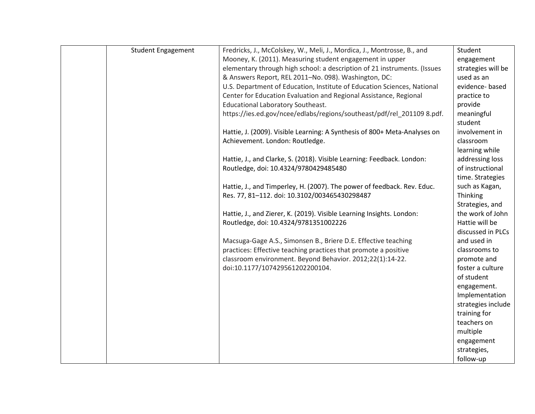| <b>Student Engagement</b> | Fredricks, J., McColskey, W., Meli, J., Mordica, J., Montrosse, B., and   | Student            |
|---------------------------|---------------------------------------------------------------------------|--------------------|
|                           | Mooney, K. (2011). Measuring student engagement in upper                  | engagement         |
|                           | elementary through high school: a description of 21 instruments. (Issues  | strategies will be |
|                           | & Answers Report, REL 2011-No. 098). Washington, DC:                      | used as an         |
|                           | U.S. Department of Education, Institute of Education Sciences, National   | evidence-based     |
|                           | Center for Education Evaluation and Regional Assistance, Regional         | practice to        |
|                           | <b>Educational Laboratory Southeast.</b>                                  | provide            |
|                           | https://ies.ed.gov/ncee/edlabs/regions/southeast/pdf/rel 201109 8.pdf.    | meaningful         |
|                           |                                                                           | student            |
|                           | Hattie, J. (2009). Visible Learning: A Synthesis of 800+ Meta-Analyses on | involvement in     |
|                           | Achievement. London: Routledge.                                           | classroom          |
|                           |                                                                           | learning while     |
|                           | Hattie, J., and Clarke, S. (2018). Visible Learning: Feedback. London:    | addressing loss    |
|                           | Routledge, doi: 10.4324/9780429485480                                     | of instructional   |
|                           |                                                                           | time. Strategies   |
|                           | Hattie, J., and Timperley, H. (2007). The power of feedback. Rev. Educ.   | such as Kagan,     |
|                           | Res. 77, 81-112. doi: 10.3102/003465430298487                             | Thinking           |
|                           |                                                                           | Strategies, and    |
|                           | Hattie, J., and Zierer, K. (2019). Visible Learning Insights. London:     | the work of John   |
|                           | Routledge, doi: 10.4324/9781351002226                                     | Hattie will be     |
|                           |                                                                           | discussed in PLCs  |
|                           | Macsuga-Gage A.S., Simonsen B., Briere D.E. Effective teaching            | and used in        |
|                           | practices: Effective teaching practices that promote a positive           | classrooms to      |
|                           | classroom environment. Beyond Behavior. 2012;22(1):14-22.                 | promote and        |
|                           | doi:10.1177/107429561202200104.                                           | foster a culture   |
|                           |                                                                           | of student         |
|                           |                                                                           | engagement.        |
|                           |                                                                           | Implementation     |
|                           |                                                                           | strategies include |
|                           |                                                                           | training for       |
|                           |                                                                           | teachers on        |
|                           |                                                                           | multiple           |
|                           |                                                                           | engagement         |
|                           |                                                                           | strategies,        |
|                           |                                                                           | follow-up          |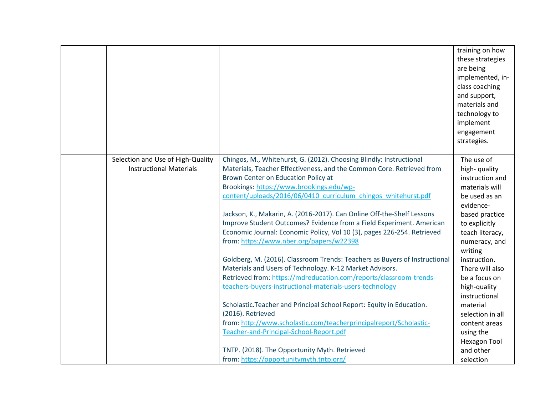|                                                                     |                                                                                                                                                                                                                                                                                                                                                                                                                                                                                                                                                                                                                                                          | training on how<br>these strategies<br>are being<br>implemented, in-<br>class coaching<br>and support,<br>materials and<br>technology to<br>implement<br>engagement<br>strategies.              |
|---------------------------------------------------------------------|----------------------------------------------------------------------------------------------------------------------------------------------------------------------------------------------------------------------------------------------------------------------------------------------------------------------------------------------------------------------------------------------------------------------------------------------------------------------------------------------------------------------------------------------------------------------------------------------------------------------------------------------------------|-------------------------------------------------------------------------------------------------------------------------------------------------------------------------------------------------|
| Selection and Use of High-Quality<br><b>Instructional Materials</b> | Chingos, M., Whitehurst, G. (2012). Choosing Blindly: Instructional<br>Materials, Teacher Effectiveness, and the Common Core. Retrieved from<br>Brown Center on Education Policy at<br>Brookings: https://www.brookings.edu/wp-<br>content/uploads/2016/06/0410 curriculum chingos whitehurst.pdf<br>Jackson, K., Makarin, A. (2016-2017). Can Online Off-the-Shelf Lessons<br>Improve Student Outcomes? Evidence from a Field Experiment. American<br>Economic Journal: Economic Policy, Vol 10 (3), pages 226-254. Retrieved<br>from: https://www.nber.org/papers/w22398<br>Goldberg, M. (2016). Classroom Trends: Teachers as Buyers of Instructional | The use of<br>high-quality<br>instruction and<br>materials will<br>be used as an<br>evidence-<br>based practice<br>to explicitly<br>teach literacy,<br>numeracy, and<br>writing<br>instruction. |
|                                                                     | Materials and Users of Technology. K-12 Market Advisors.<br>Retrieved from: https://mdreducation.com/reports/classroom-trends-<br>teachers-buyers-instructional-materials-users-technology<br>Scholastic. Teacher and Principal School Report: Equity in Education.<br>(2016). Retrieved<br>from: http://www.scholastic.com/teacherprincipalreport/Scholastic-<br>Teacher-and-Principal-School-Report.pdf<br>TNTP. (2018). The Opportunity Myth. Retrieved<br>from: https://opportunitymyth.tntp.org/                                                                                                                                                    | There will also<br>be a focus on<br>high-quality<br>instructional<br>material<br>selection in all<br>content areas<br>using the<br><b>Hexagon Tool</b><br>and other<br>selection                |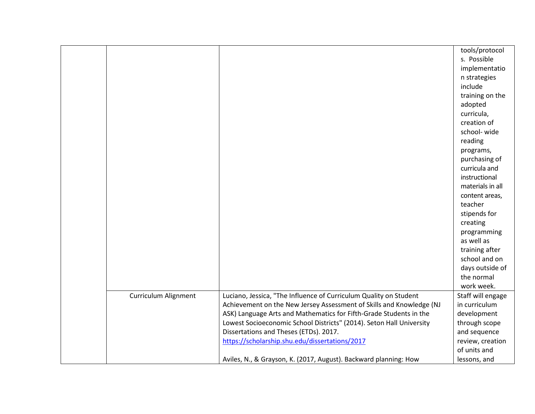|                             |                                                                      | tools/protocol    |
|-----------------------------|----------------------------------------------------------------------|-------------------|
|                             |                                                                      | s. Possible       |
|                             |                                                                      | implementatio     |
|                             |                                                                      | n strategies      |
|                             |                                                                      | include           |
|                             |                                                                      | training on the   |
|                             |                                                                      | adopted           |
|                             |                                                                      | curricula,        |
|                             |                                                                      | creation of       |
|                             |                                                                      | school-wide       |
|                             |                                                                      | reading           |
|                             |                                                                      | programs,         |
|                             |                                                                      | purchasing of     |
|                             |                                                                      | curricula and     |
|                             |                                                                      | instructional     |
|                             |                                                                      | materials in all  |
|                             |                                                                      | content areas,    |
|                             |                                                                      | teacher           |
|                             |                                                                      | stipends for      |
|                             |                                                                      | creating          |
|                             |                                                                      | programming       |
|                             |                                                                      | as well as        |
|                             |                                                                      | training after    |
|                             |                                                                      | school and on     |
|                             |                                                                      | days outside of   |
|                             |                                                                      | the normal        |
|                             |                                                                      | work week.        |
| <b>Curriculum Alignment</b> | Luciano, Jessica, "The Influence of Curriculum Quality on Student    | Staff will engage |
|                             | Achievement on the New Jersey Assessment of Skills and Knowledge (NJ | in curriculum     |
|                             | ASK) Language Arts and Mathematics for Fifth-Grade Students in the   | development       |
|                             | Lowest Socioeconomic School Districts" (2014). Seton Hall University | through scope     |
|                             | Dissertations and Theses (ETDs). 2017.                               | and sequence      |
|                             | https://scholarship.shu.edu/dissertations/2017                       | review, creation  |
|                             |                                                                      | of units and      |
|                             | Aviles, N., & Grayson, K. (2017, August). Backward planning: How     | lessons, and      |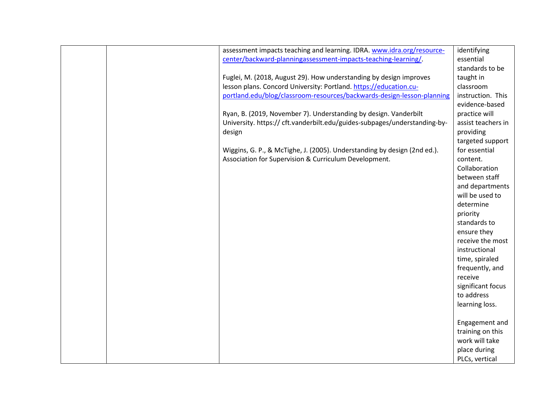|  | assessment impacts teaching and learning. IDRA. www.idra.org/resource-    | identifying        |
|--|---------------------------------------------------------------------------|--------------------|
|  | center/backward-planningassessment-impacts-teaching-learning/             | essential          |
|  |                                                                           | standards to be    |
|  | Fuglei, M. (2018, August 29). How understanding by design improves        | taught in          |
|  | lesson plans. Concord University: Portland. https://education.cu-         | classroom          |
|  | portland.edu/blog/classroom-resources/backwards-design-lesson-planning    | instruction. This  |
|  |                                                                           | evidence-based     |
|  | Ryan, B. (2019, November 7). Understanding by design. Vanderbilt          | practice will      |
|  | University. https:// cft.vanderbilt.edu/guides-subpages/understanding-by- | assist teachers in |
|  | design                                                                    | providing          |
|  |                                                                           | targeted support   |
|  | Wiggins, G. P., & McTighe, J. (2005). Understanding by design (2nd ed.).  | for essential      |
|  | Association for Supervision & Curriculum Development.                     | content.           |
|  |                                                                           | Collaboration      |
|  |                                                                           | between staff      |
|  |                                                                           | and departments    |
|  |                                                                           | will be used to    |
|  |                                                                           | determine          |
|  |                                                                           | priority           |
|  |                                                                           | standards to       |
|  |                                                                           | ensure they        |
|  |                                                                           | receive the most   |
|  |                                                                           | instructional      |
|  |                                                                           | time, spiraled     |
|  |                                                                           | frequently, and    |
|  |                                                                           | receive            |
|  |                                                                           | significant focus  |
|  |                                                                           | to address         |
|  |                                                                           | learning loss.     |
|  |                                                                           |                    |
|  |                                                                           | Engagement and     |
|  |                                                                           | training on this   |
|  |                                                                           | work will take     |
|  |                                                                           | place during       |
|  |                                                                           | PLCs, vertical     |